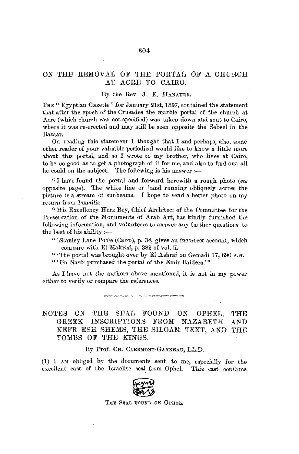## *ON* THE REMOVAL OF THE PORTAL OF A CHURCH AT ACRE TO CAIRO.

## By the *Rev.* J. E. HANAUER.

THE "Egyptian Gazette" for January 21st, 1897, contained the statement that after the epoch of the Crusades the marble portal of the church at Acre (which church was not specified) was taken down and sent to Cairo, where it was re-erected and may still be seen opposite the Sebeel in the Bazaar.

On reading this statement I thought that I and perhaps, also, some other reader of your valuable periodical would like to know a little more about this portal, and so I wrote to my brother, who lives at Cairo, to be so good as to get a photograph of it for me, and also to find out all he could on the subject. The following is his answer *:-*

" I have found the portal and forward herewith a rough photo *(see*  opposite page). The white line or band running obliquely across the picture is a stream of sunbeams. I hope to send a better photo on my return from Ismailia.

"His Excellency Herz Bey, Chief Architect of the Committee for the Preservation of the Monuments of Arab Art, has kindly furnished the following information, and volunteers to answer any further questions to the best of his ability: $-$ 

"' Stanley Lane Poole (Cairo), p. 34, gives an incorrect account, which compare with El Makrisi, p. 382 of vol. ii.

"'The portal was brought over by El Ashraf on Gemadi 17, 690 A.H.

"' En Nasir purchased the portal of the Emir Baidera.'"

As I have not the authors above mentioned, it is not in my power either to verify or compare the references.

NOTES *ON* THE SEAL FOUND *ON* OPHEL, GREEK INSCRIPTIONS FROM NAZARETH KEFR ESH SHEMS, THE SILOAM. TEXT, AND THE TOMBS OF THE KINGS. 'l'HE AND

By Prof. CH. CLERMONT-GANNEAU, LL.D.

(1) I AM obliged by the documents sent to me, especially for the excellent cast of the Israelite seal from Ophel. This cast confirms

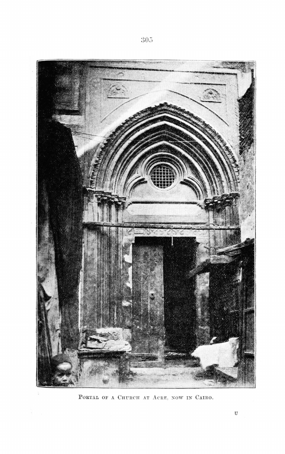

PORTAL OF A CHURCH AT ACRE, NOW IN CAIRO.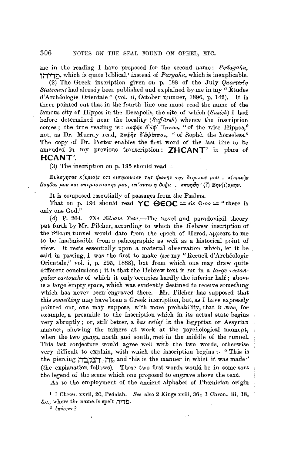me in the reading I have proposed for the second name: Pedayahu, **i:-T"l"'T!J,** which is quite biblical,' instead of *Paryaliu,* which is inexplicable.

(2) The Greek inscription given on p. 188 of the July *Quarterly Statement* had already been published and explained by me in my " *Études* d'Archeologie Orientale" (vol. ii, October number, 1896, p. 142). It is there pointed out that in the fourth line one must read the name of the famous city of Hippos in the Decapolis, the site of which *(Susieh)* I had before determined near the locality ( *Sajfureh)* whence the inseription comes; the true reading is:  $\sigma o \phi \hat{n} s \delta d \phi'' \eta \pi \sigma o v$ , "of the wise Hippos." not, as Dr. Murray read,  $\Sigma o \phi \hat{\eta} s \delta' d\phi i \pi \pi o \nu$ , "of Sophe, the horseless." The copy of Dr. Porter enables the first word of the last line to be amended in my previous transcription; **ZHCANT'** in place of **HCANT'.** 

(3) The inscription on p. 195 should read-

Evλογητος κ(υριο)ς οτι εισηκουσεν της φωνης της δεησεως μου , κ(υριο)ς Bonθos μου και υπερασπιστης μου, επ'αυτω η δοξα, επυηθη<sup>2</sup> (?) Βην(ι',αμην.

It is composed essentially of passages from the Psalms.

That on p. 194 should read **YC**  $\Theta EOC = \epsilon$  is  $\theta \epsilon$  os  $=$  "there is only one God."

(4) P. 204. *The SilJam Te.xt.-The* novel and paradoxical theory put forth by Mr. Pilcher, according to which the Hebrew inscription of the Siloam tunnel would date from the epoch of Herod, appears to me to be inadmissible from a palæographic as well as a historical point of view. It rests essentially upon a material observation which, *let* it be said in passing, I was the first to make *(see* my "Recueil d'Archéologie Orientale,'' vol. i, p. 295, 1888), but from which one may draw quite different conclusions; it is that the Hebrew text is cut in a *large rectangular cartouche* of which it only occupies hardly the inferior half; above is a large empty space, which was evidently destined to receive something which has never been engraved there. Mr. Pilcher has supposed that this *something* may have been a Greek inscription, but, as I have expressly pointed out, one may suppose, with more probability, that it .was, for example, a preamble to the inscription which in its actual state begins very abruptly; or, still better, a *bas relief* in the Egyptian or Assyrian manner, showing the miners at work at the psychological moment, when the two gangs, north and south, met in the middle of the tunnel. This last conjecture would agree well with the two words, otherwise very difficult to explain, with which the inscription begins :- "This is the piercing **i17. דוכלבד**ן, and this is the manner in which it was made" (the explanation follows). These two first words would be **in** some sort the legend of the scene which one prvposed to engrave above the text.

As to the employment of the ancient alphabet of Phœnician origin

1 I Chron. xxvii, 20, Pedaiah. *See* also 2 Kings xxiii, 36; 1 Chron. iii, 18,  $\&c.,$  where the name is spelt **.11:** 

<sup>2</sup>*l-1rriuJrrt?*